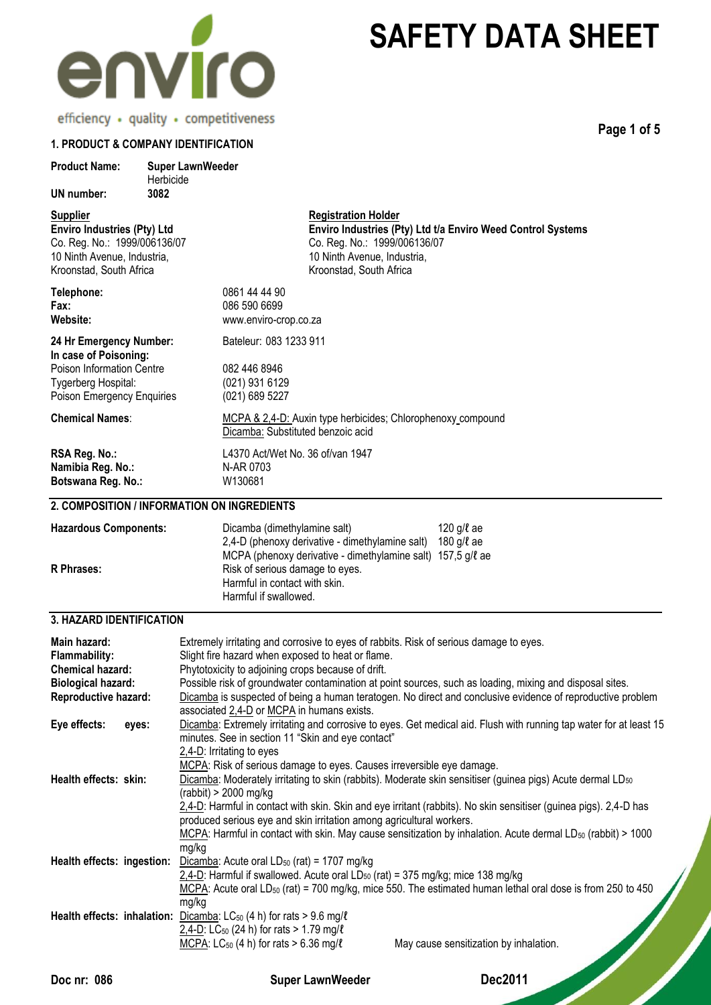

**Page 1 of 5**

## **1. PRODUCT & COMPANY IDENTIFICATION**

| <b>Product Name:</b>                                                                                                                      | <b>Super LawnWeeder</b><br>Herbicide |                                                                                                                                                                                                                                                                                                                                                                                                                                                                                                                                                                                                                                                      |
|-------------------------------------------------------------------------------------------------------------------------------------------|--------------------------------------|------------------------------------------------------------------------------------------------------------------------------------------------------------------------------------------------------------------------------------------------------------------------------------------------------------------------------------------------------------------------------------------------------------------------------------------------------------------------------------------------------------------------------------------------------------------------------------------------------------------------------------------------------|
| <b>UN number:</b>                                                                                                                         | 3082                                 |                                                                                                                                                                                                                                                                                                                                                                                                                                                                                                                                                                                                                                                      |
| <u>Supplier</u><br>Enviro Industries (Pty) Ltd<br>Co. Reg. No.: 1999/006136/07<br>10 Ninth Avenue, Industria,<br>Kroonstad, South Africa  |                                      | <b>Registration Holder</b><br>Enviro Industries (Pty) Ltd t/a Enviro Weed Control Systems<br>Co. Reg. No.: 1999/006136/07<br>10 Ninth Avenue, Industria,<br>Kroonstad, South Africa                                                                                                                                                                                                                                                                                                                                                                                                                                                                  |
| Telephone:<br>Fax:<br>Website:                                                                                                            |                                      | 0861 44 44 90<br>086 590 6699<br>www.enviro-crop.co.za                                                                                                                                                                                                                                                                                                                                                                                                                                                                                                                                                                                               |
| 24 Hr Emergency Number:<br>In case of Poisoning:<br><b>Poison Information Centre</b><br>Tygerberg Hospital:<br>Poison Emergency Enquiries |                                      | Bateleur: 083 1233 911<br>082 446 8946<br>(021) 931 6129<br>(021) 689 5227                                                                                                                                                                                                                                                                                                                                                                                                                                                                                                                                                                           |
| <b>Chemical Names:</b>                                                                                                                    |                                      | MCPA & 2,4-D: Auxin type herbicides; Chlorophenoxy compound<br>Dicamba: Substituted benzoic acid                                                                                                                                                                                                                                                                                                                                                                                                                                                                                                                                                     |
| RSA Reg. No.:<br>Namibia Reg. No.:<br>Botswana Reg. No.:                                                                                  |                                      | L4370 Act/Wet No. 36 of/van 1947<br>N-AR 0703<br>W130681                                                                                                                                                                                                                                                                                                                                                                                                                                                                                                                                                                                             |
| 2. COMPOSITION / INFORMATION ON INGREDIENTS                                                                                               |                                      |                                                                                                                                                                                                                                                                                                                                                                                                                                                                                                                                                                                                                                                      |
| <b>Hazardous Components:</b><br>R Phrases:                                                                                                |                                      | 120 g/l ae<br>Dicamba (dimethylamine salt)<br>2,4-D (phenoxy derivative - dimethylamine salt) 180 $g/l$ ae<br>MCPA (phenoxy derivative - dimethylamine salt) 157,5 g/l ae<br>Risk of serious damage to eyes.<br>Harmful in contact with skin.<br>Harmful if swallowed.                                                                                                                                                                                                                                                                                                                                                                               |
| 3. HAZARD IDENTIFICATION                                                                                                                  |                                      |                                                                                                                                                                                                                                                                                                                                                                                                                                                                                                                                                                                                                                                      |
| Main hazard:<br>Flammability:<br><b>Chemical hazard:</b><br><b>Biological hazard:</b><br>Reproductive hazard:<br>Eye effects:<br>eyes:    |                                      | Extremely irritating and corrosive to eyes of rabbits. Risk of serious damage to eyes.<br>Slight fire hazard when exposed to heat or flame.<br>Phytotoxicity to adjoining crops because of drift.<br>Possible risk of groundwater contamination at point sources, such as loading, mixing and disposal sites.<br>Dicamba is suspected of being a human teratogen. No direct and conclusive evidence of reproductive problem<br>associated 2,4-D or MCPA in humans exists.<br>Dicamba: Extremely irritating and corrosive to eyes. Get medical aid. Flush with running tap water for at least 15<br>minutes. See in section 11 "Skin and eye contact" |
| Health effects: skin:                                                                                                                     |                                      | 2,4-D: Irritating to eyes<br>MCPA: Risk of serious damage to eyes. Causes irreversible eye damage.<br>Dicamba: Moderately irritating to skin (rabbits). Moderate skin sensitiser (guinea pigs) Acute dermal LD $_{50}$<br>$(rabbit) > 2000$ mg/kg<br>2.4-D: Harmful in contact with skin. Skin and eye irritant (rabbits). No skin sensitiser (guinea pigs). 2,4-D has<br>produced serious eye and skin irritation among agricultural workers.<br>MCPA: Harmful in contact with skin. May cause sensitization by inhalation. Acute dermal LD <sub>50</sub> (rabbit) > 1000                                                                           |
| Health effects: ingestion:                                                                                                                | mg/kg<br>mg/kg                       | Dicamba: Acute oral LD <sub>50</sub> (rat) = 1707 mg/kg<br>$2,4$ -D: Harmful if swallowed. Acute oral LD <sub>50</sub> (rat) = 375 mg/kg; mice 138 mg/kg<br>$MCPA$ : Acute oral LD <sub>50</sub> (rat) = 700 mg/kg, mice 550. The estimated human lethal oral dose is from 250 to 450                                                                                                                                                                                                                                                                                                                                                                |

**Health effects: inhalation:** Dicamba: LC<sub>50</sub> (4 h) for rats > 9.6 mg/*l* 

2,4-D: LC<sub>50</sub> (24 h) for rats > 1.79 mg/ $\ell$ 

**Doc nr: 086 Super LawnWeeder Dec2011**

 $\overline{\text{MCPA}}$ : LC<sub>50</sub> (4 h) for rats > 6.36 mg/ $\ell$  May cause sensitization by inhalation.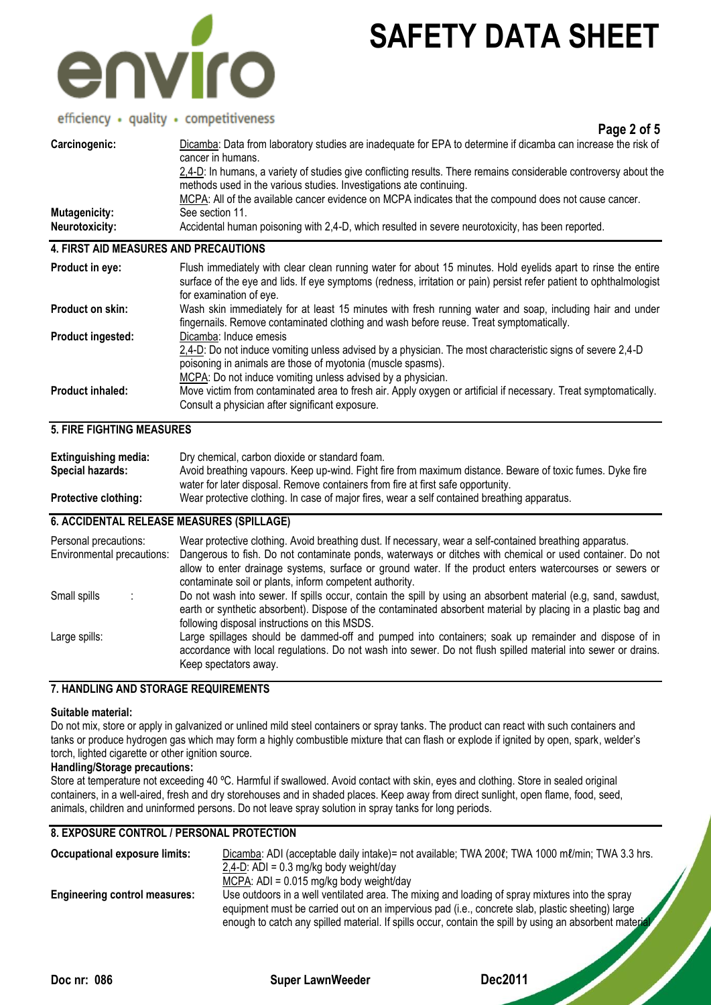

## efficiency · quality · competitiveness

|                       | CHILICITY . QUOLILY . COMPONDICIOS<br>Page 2 of 5                                                                                                                                        |
|-----------------------|------------------------------------------------------------------------------------------------------------------------------------------------------------------------------------------|
| Carcinogenic:         | Dicamba: Data from laboratory studies are inadequate for EPA to determine if dicamba can increase the risk of<br>cancer in humans.                                                       |
|                       | 2.4-D: In humans, a variety of studies give conflicting results. There remains considerable controversy about the<br>methods used in the various studies. Investigations ate continuing. |
|                       | MCPA: All of the available cancer evidence on MCPA indicates that the compound does not cause cancer.                                                                                    |
| Mutagenicity:         | See section 11.                                                                                                                                                                          |
| <b>Neurotoxicity:</b> | Accidental human poisoning with 2,4-D, which resulted in severe neurotoxicity, has been reported.                                                                                        |
|                       | 4. FIRST AID MEASURES AND PRECAUTIONS                                                                                                                                                    |

| Product in eye:          | Flush immediately with clear clean running water for about 15 minutes. Hold eyelids apart to rinse the entire<br>surface of the eye and lids. If eye symptoms (redness, irritation or pain) persist refer patient to ophthalmologist<br>for examination of eye.    |
|--------------------------|--------------------------------------------------------------------------------------------------------------------------------------------------------------------------------------------------------------------------------------------------------------------|
| Product on skin:         | Wash skin immediately for at least 15 minutes with fresh running water and soap, including hair and under<br>fingernails. Remove contaminated clothing and wash before reuse. Treat symptomatically.                                                               |
| <b>Product ingested:</b> | Dicamba: Induce emesis<br>2,4-D: Do not induce vomiting unless advised by a physician. The most characteristic signs of severe 2,4-D<br>poisoning in animals are those of myotonia (muscle spasms).<br>MCPA: Do not induce vomiting unless advised by a physician. |
| <b>Product inhaled:</b>  | Move victim from contaminated area to fresh air. Apply oxygen or artificial if necessary. Treat symptomatically.<br>Consult a physician after significant exposure.                                                                                                |

## **5. FIRE FIGHTING MEASURES**

| <b>Extinguishing media:</b> | Dry chemical, carbon dioxide or standard foam.                                                            |
|-----------------------------|-----------------------------------------------------------------------------------------------------------|
| <b>Special hazards:</b>     | Avoid breathing vapours. Keep up-wind. Fight fire from maximum distance. Beware of toxic fumes. Dyke fire |
|                             | water for later disposal. Remove containers from fire at first safe opportunity.                          |
| <b>Protective clothing:</b> | Wear protective clothing. In case of major fires, wear a self contained breathing apparatus.              |

## **6. ACCIDENTAL RELEASE MEASURES (SPILLAGE)**

| Personal precautions:<br>Environmental precautions: | Wear protective clothing. Avoid breathing dust. If necessary, wear a self-contained breathing apparatus.<br>Dangerous to fish. Do not contaminate ponds, waterways or ditches with chemical or used container. Do not<br>allow to enter drainage systems, surface or ground water. If the product enters watercourses or sewers or<br>contaminate soil or plants, inform competent authority. |
|-----------------------------------------------------|-----------------------------------------------------------------------------------------------------------------------------------------------------------------------------------------------------------------------------------------------------------------------------------------------------------------------------------------------------------------------------------------------|
| Small spills                                        | Do not wash into sewer. If spills occur, contain the spill by using an absorbent material (e.g. sand, sawdust,<br>earth or synthetic absorbent). Dispose of the contaminated absorbent material by placing in a plastic bag and<br>following disposal instructions on this MSDS.                                                                                                              |
| Large spills:                                       | Large spillages should be dammed-off and pumped into containers; soak up remainder and dispose of in<br>accordance with local regulations. Do not wash into sewer. Do not flush spilled material into sewer or drains.<br>Keep spectators away.                                                                                                                                               |

## **7. HANDLING AND STORAGE REQUIREMENTS**

#### **Suitable material:**

Do not mix, store or apply in galvanized or unlined mild steel containers or spray tanks. The product can react with such containers and tanks or produce hydrogen gas which may form a highly combustible mixture that can flash or explode if ignited by open, spark, welder's torch, lighted cigarette or other ignition source.

## **Handling/Storage precautions:**

Store at temperature not exceeding 40 ºC. Harmful if swallowed. Avoid contact with skin, eyes and clothing. Store in sealed original containers, in a well-aired, fresh and dry storehouses and in shaded places. Keep away from direct sunlight, open flame, food, seed, animals, children and uninformed persons. Do not leave spray solution in spray tanks for long periods.

## **8. EXPOSURE CONTROL / PERSONAL PROTECTION**

| Occupational exposure limits:        | Dicamba: ADI (acceptable daily intake) = not available; TWA 2001; TWA 1000 ml/min; TWA 3.3 hrs.                                                                                                                                                                                                                |
|--------------------------------------|----------------------------------------------------------------------------------------------------------------------------------------------------------------------------------------------------------------------------------------------------------------------------------------------------------------|
|                                      | $2,4$ -D: ADI = 0.3 mg/kg body weight/day                                                                                                                                                                                                                                                                      |
|                                      | MCPA: $ADI = 0.015$ mg/kg body weight/day                                                                                                                                                                                                                                                                      |
| <b>Engineering control measures:</b> | Use outdoors in a well ventilated area. The mixing and loading of spray mixtures into the spray<br>equipment must be carried out on an impervious pad (i.e., concrete slab, plastic sheeting) large<br>enough to catch any spilled material. If spills occur, contain the spill by using an absorbent material |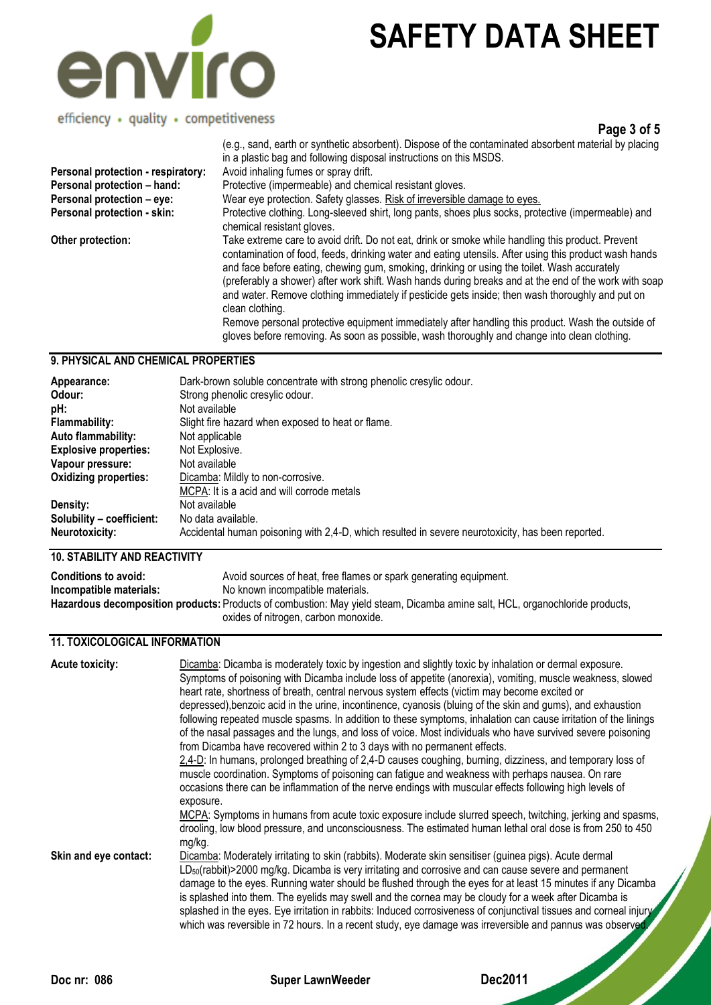

efficiency · quality · competitiveness

**Page 3 of 5**

| Personal protection - respiratory:<br>Personal protection - hand: | (e.g., sand, earth or synthetic absorbent). Dispose of the contaminated absorbent material by placing<br>in a plastic bag and following disposal instructions on this MSDS.<br>Avoid inhaling fumes or spray drift.<br>Protective (impermeable) and chemical resistant gloves.                                                                                                                                                                                                                                                                                                                                                                                                                                                                 |
|-------------------------------------------------------------------|------------------------------------------------------------------------------------------------------------------------------------------------------------------------------------------------------------------------------------------------------------------------------------------------------------------------------------------------------------------------------------------------------------------------------------------------------------------------------------------------------------------------------------------------------------------------------------------------------------------------------------------------------------------------------------------------------------------------------------------------|
| Personal protection - eye:                                        | Wear eye protection. Safety glasses. Risk of irreversible damage to eyes.                                                                                                                                                                                                                                                                                                                                                                                                                                                                                                                                                                                                                                                                      |
| Personal protection - skin:                                       | Protective clothing. Long-sleeved shirt, long pants, shoes plus socks, protective (impermeable) and<br>chemical resistant gloves.                                                                                                                                                                                                                                                                                                                                                                                                                                                                                                                                                                                                              |
| Other protection:                                                 | Take extreme care to avoid drift. Do not eat, drink or smoke while handling this product. Prevent<br>contamination of food, feeds, drinking water and eating utensils. After using this product wash hands<br>and face before eating, chewing gum, smoking, drinking or using the toilet. Wash accurately<br>(preferably a shower) after work shift. Wash hands during breaks and at the end of the work with soap<br>and water. Remove clothing immediately if pesticide gets inside; then wash thoroughly and put on<br>clean clothing.<br>Remove personal protective equipment immediately after handling this product. Wash the outside of<br>gloves before removing. As soon as possible, wash thoroughly and change into clean clothing. |

## **9. PHYSICAL AND CHEMICAL PROPERTIES**

| Appearance:                  | Dark-brown soluble concentrate with strong phenolic cresylic odour.                               |
|------------------------------|---------------------------------------------------------------------------------------------------|
| Odour:                       | Strong phenolic cresylic odour.                                                                   |
| pH:                          | Not available                                                                                     |
| <b>Flammability:</b>         | Slight fire hazard when exposed to heat or flame.                                                 |
| <b>Auto flammability:</b>    | Not applicable                                                                                    |
| <b>Explosive properties:</b> | Not Explosive.                                                                                    |
| Vapour pressure:             | Not available                                                                                     |
| <b>Oxidizing properties:</b> | Dicamba: Mildly to non-corrosive.                                                                 |
|                              | MCPA: It is a acid and will corrode metals                                                        |
| Density:                     | Not available                                                                                     |
| Solubility - coefficient:    | No data available.                                                                                |
| <b>Neurotoxicity:</b>        | Accidental human poisoning with 2,4-D, which resulted in severe neurotoxicity, has been reported. |

## **10. STABILITY AND REACTIVITY**

| <b>Conditions to avoid:</b> | Avoid sources of heat, free flames or spark generating equipment.                                                                   |
|-----------------------------|-------------------------------------------------------------------------------------------------------------------------------------|
| Incompatible materials:     | No known incompatible materials.                                                                                                    |
|                             | <b>Hazardous decomposition products:</b> Products of combustion: May yield steam, Dicamba amine salt, HCL, organochloride products, |
|                             | oxides of nitrogen, carbon monoxide.                                                                                                |

### **11. TOXICOLOGICAL INFORMATION**

| <b>Acute toxicity:</b> | Dicamba: Dicamba is moderately toxic by ingestion and slightly toxic by inhalation or dermal exposure.<br>Symptoms of poisoning with Dicamba include loss of appetite (anorexia), vomiting, muscle weakness, slowed<br>heart rate, shortness of breath, central nervous system effects (victim may become excited or<br>depressed), benzoic acid in the urine, incontinence, cyanosis (bluing of the skin and gums), and exhaustion<br>following repeated muscle spasms. In addition to these symptoms, inhalation can cause irritation of the linings<br>of the nasal passages and the lungs, and loss of voice. Most individuals who have survived severe poisoning<br>from Dicamba have recovered within 2 to 3 days with no permanent effects.<br>2,4-D: In humans, prolonged breathing of 2,4-D causes coughing, burning, dizziness, and temporary loss of<br>muscle coordination. Symptoms of poisoning can fatigue and weakness with perhaps nausea. On rare<br>occasions there can be inflammation of the nerve endings with muscular effects following high levels of |
|------------------------|--------------------------------------------------------------------------------------------------------------------------------------------------------------------------------------------------------------------------------------------------------------------------------------------------------------------------------------------------------------------------------------------------------------------------------------------------------------------------------------------------------------------------------------------------------------------------------------------------------------------------------------------------------------------------------------------------------------------------------------------------------------------------------------------------------------------------------------------------------------------------------------------------------------------------------------------------------------------------------------------------------------------------------------------------------------------------------|
|                        | exposure.<br>MCPA: Symptoms in humans from acute toxic exposure include slurred speech, twitching, jerking and spasms,<br>drooling, low blood pressure, and unconsciousness. The estimated human lethal oral dose is from 250 to 450<br>mg/kg.                                                                                                                                                                                                                                                                                                                                                                                                                                                                                                                                                                                                                                                                                                                                                                                                                                 |
| Skin and eye contact:  | Dicamba: Moderately irritating to skin (rabbits). Moderate skin sensitiser (guinea pigs). Acute dermal<br>LD <sub>50</sub> (rabbit)>2000 mg/kg. Dicamba is very irritating and corrosive and can cause severe and permanent<br>damage to the eyes. Running water should be flushed through the eyes for at least 15 minutes if any Dicamba<br>is splashed into them. The eyelids may swell and the cornea may be cloudy for a week after Dicamba is<br>splashed in the eyes. Eye irritation in rabbits: Induced corrosiveness of conjunctival tissues and corneal injury<br>which was reversible in 72 hours. In a recent study, eye damage was irreversible and pannus was observed.                                                                                                                                                                                                                                                                                                                                                                                          |

**Doc nr: 086 Super LawnWeeder Dec2011**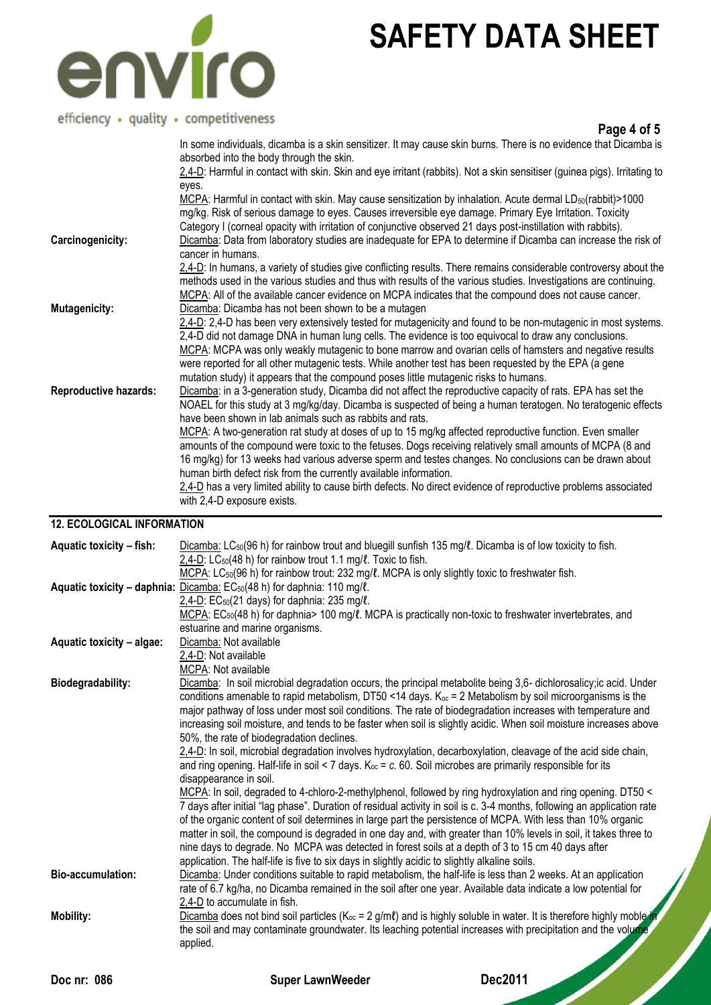

# efficiency · quality · competitiveness

| emerging + goodity + competitiveness | Page 4 of 5                                                                                                                                                                                                                                                                                                                                                                                                                                                                                                                      |
|--------------------------------------|----------------------------------------------------------------------------------------------------------------------------------------------------------------------------------------------------------------------------------------------------------------------------------------------------------------------------------------------------------------------------------------------------------------------------------------------------------------------------------------------------------------------------------|
|                                      | In some individuals, dicamba is a skin sensitizer. It may cause skin burns. There is no evidence that Dicamba is<br>absorbed into the body through the skin.                                                                                                                                                                                                                                                                                                                                                                     |
|                                      | 2,4-D: Harmful in contact with skin. Skin and eye irritant (rabbits). Not a skin sensitiser (guinea pigs). Irritating to<br>eyes.                                                                                                                                                                                                                                                                                                                                                                                                |
| Carcinogenicity:                     | MCPA: Harmful in contact with skin. May cause sensitization by inhalation. Acute dermal LD <sub>50</sub> (rabbit)>1000<br>mg/kg. Risk of serious damage to eyes. Causes irreversible eye damage. Primary Eye Irritation. Toxicity<br>Category I (corneal opacity with irritation of conjunctive observed 21 days post-instillation with rabbits).<br>Dicamba: Data from laboratory studies are inadequate for EPA to determine if Dicamba can increase the risk of                                                               |
|                                      | cancer in humans.                                                                                                                                                                                                                                                                                                                                                                                                                                                                                                                |
|                                      | 2,4-D: In humans, a variety of studies give conflicting results. There remains considerable controversy about the<br>methods used in the various studies and thus with results of the various studies. Investigations are continuing.<br>MCPA: All of the available cancer evidence on MCPA indicates that the compound does not cause cancer.                                                                                                                                                                                   |
| Mutagenicity:                        | Dicamba: Dicamba has not been shown to be a mutagen                                                                                                                                                                                                                                                                                                                                                                                                                                                                              |
|                                      | 2,4-D: 2,4-D has been very extensively tested for mutagenicity and found to be non-mutagenic in most systems.<br>2,4-D did not damage DNA in human lung cells. The evidence is too equivocal to draw any conclusions.<br>MCPA: MCPA was only weakly mutagenic to bone marrow and ovarian cells of hamsters and negative results<br>were reported for all other mutagenic tests. While another test has been requested by the EPA (a gene<br>mutation study) it appears that the compound poses little mutagenic risks to humans. |
| <b>Reproductive hazards:</b>         | Dicamba: in a 3-generation study, Dicamba did not affect the reproductive capacity of rats. EPA has set the<br>NOAEL for this study at 3 mg/kg/day. Dicamba is suspected of being a human teratogen. No teratogenic effects<br>have been shown in lab animals such as rabbits and rats.                                                                                                                                                                                                                                          |
|                                      | MCPA: A two-generation rat study at doses of up to 15 mg/kg affected reproductive function. Even smaller<br>amounts of the compound were toxic to the fetuses. Dogs receiving relatively small amounts of MCPA (8 and<br>16 mg/kg) for 13 weeks had various adverse sperm and testes changes. No conclusions can be drawn about<br>human birth defect risk from the currently available information.                                                                                                                             |
|                                      | 2,4-D has a very limited ability to cause birth defects. No direct evidence of reproductive problems associated<br>with 2,4-D exposure exists.                                                                                                                                                                                                                                                                                                                                                                                   |

## **12. ECOLOGICAL INFORMATION**

| Aquatic toxicity - fish:  | Dicamba: LC <sub>50</sub> (96 h) for rainbow trout and bluegill sunfish 135 mg/l. Dicamba is of low toxicity to fish.     |
|---------------------------|---------------------------------------------------------------------------------------------------------------------------|
|                           | 2,4-D: LC <sub>50</sub> (48 h) for rainbow trout 1.1 mg/ $\ell$ . Toxic to fish.                                          |
|                           | MCPA: LC <sub>50</sub> (96 h) for rainbow trout: 232 mg/l. MCPA is only slightly toxic to freshwater fish.                |
|                           | <b>Aquatic toxicity – daphnia:</b> Dicamba: $EC_{50}(48 \text{ h})$ for daphnia: 110 mg/ $\ell$ .                         |
|                           | 2,4-D: $EC_{50}(21 \text{ days})$ for daphnia: 235 mg/ $\ell$ .                                                           |
|                           | MCPA: EC <sub>50</sub> (48 h) for daphnia> 100 mg/l. MCPA is practically non-toxic to freshwater invertebrates, and       |
|                           | estuarine and marine organisms.                                                                                           |
| Aquatic toxicity - algae: | Dicamba: Not available                                                                                                    |
|                           | 2,4-D: Not available                                                                                                      |
|                           | <b>MCPA: Not available</b>                                                                                                |
| Biodegradability:         | Dicamba: In soil microbial degradation occurs, the principal metabolite being 3,6- dichlorosalicy; ic acid. Under         |
|                           | conditions amenable to rapid metabolism, DT50 <14 days. $K_{oc}$ = 2 Metabolism by soil microorganisms is the             |
|                           | major pathway of loss under most soil conditions. The rate of biodegradation increases with temperature and               |
|                           | increasing soil moisture, and tends to be faster when soil is slightly acidic. When soil moisture increases above         |
|                           | 50%, the rate of biodegradation declines.                                                                                 |
|                           | 2.4-D: In soil, microbial degradation involves hydroxylation, decarboxylation, cleavage of the acid side chain,           |
|                           | and ring opening. Half-life in soil < 7 days. $K_{oc} = c$ . 60. Soil microbes are primarily responsible for its          |
|                           | disappearance in soil.                                                                                                    |
|                           | MCPA: In soil, degraded to 4-chloro-2-methylphenol, followed by ring hydroxylation and ring opening. DT50 <               |
|                           | 7 days after initial "lag phase". Duration of residual activity in soil is c. 3-4 months, following an application rate   |
|                           | of the organic content of soil determines in large part the persistence of MCPA. With less than 10% organic               |
|                           | matter in soil, the compound is degraded in one day and, with greater than 10% levels in soil, it takes three to          |
|                           | nine days to degrade. No MCPA was detected in forest soils at a depth of 3 to 15 cm 40 days after                         |
|                           | application. The half-life is five to six days in slightly acidic to slightly alkaline soils.                             |
| <b>Bio-accumulation:</b>  | Dicamba: Under conditions suitable to rapid metabolism, the half-life is less than 2 weeks. At an application             |
|                           | rate of 6.7 kg/ha, no Dicamba remained in the soil after one year. Available data indicate a low potential for            |
|                           | 2,4-D to accumulate in fish.                                                                                              |
| <b>Mobility:</b>          | Dicamba does not bind soil particles ( $K_{oc} = 2$ g/ml) and is highly soluble in water. It is therefore highly moble in |
|                           | the soil and may contaminate groundwater. Its leaching potential increases with precipitation and the volume,             |
|                           | applied.                                                                                                                  |
|                           |                                                                                                                           |
|                           |                                                                                                                           |

**Doc nr: 086 Super LawnWeeder Dec2011**